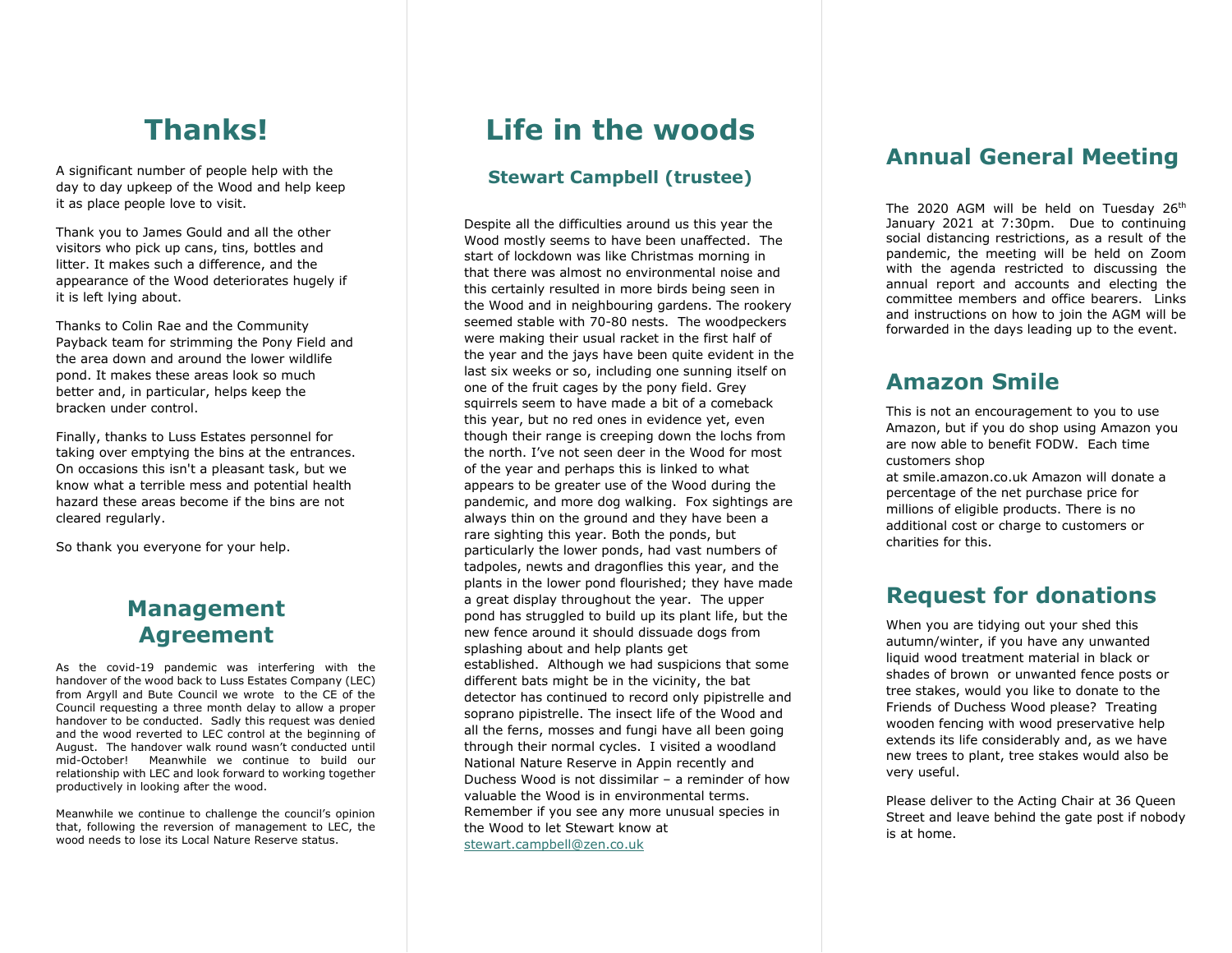## **Thanks!**

A significant number of people help with the day to day upkeep of the Wood and help keep it as place people love to visit.

Thank you to James Gould and all the other visitors who pick up cans, tins, bottles and litter. It makes such a difference, and the appearance of the Wood deteriorates hugely if it is left lying about.

Thanks to Colin Rae and the Community Payback team for strimming the Pony Field and the area down and around the lower wildlife pond. It makes these areas look so much better and, in particular, helps keep the bracken under control.

Finally, thanks to Luss Estates personnel for taking over emptying the bins at the entrances. On occasions this isn't a pleasant task, but we know what a terrible mess and potential health hazard these areas become if the bins are not cleared regularly.

So thank you everyone for your help.

#### **Management Agreement**

As the covid-19 pandemic was interfering with the handover of the wood back to Luss Estates Company (LEC) from Argyll and Bute Council we wrote to the CE of the Council requesting a three month delay to allow a proper handover to be conducted. Sadly this request was denied and the wood reverted to LEC control at the beginning of August. The handover walk round wasn't conducted until mid-October! Meanwhile we continue to build our relationship with LEC and look forward to working together productively in looking after the wood.

Meanwhile we continue to challenge the council's opinion that, following the reversion of management to LEC, the wood needs to lose its Local Nature Reserve status.

## **Life in the woods**

#### **Stewart Campbell (trustee)**

Despite all the difficulties around us this year the Wood mostly seems to have been unaffected. The start of lockdown was like Christmas morning in that there was almost no environmental noise and this certainly resulted in more birds being seen in the Wood and in neighbouring gardens. The rookery seemed stable with 70-80 nests. The woodpeckers were making their usual racket in the first half of the year and the jays have been quite evident in the last six weeks or so, including one sunning itself on one of the fruit cages by the pony field. Grey squirrels seem to have made a bit of a comeback this year, but no red ones in evidence yet, even though their range is creeping down the lochs from the north. I've not seen deer in the Wood for most of the year and perhaps this is linked to what appears to be greater use of the Wood during the pandemic, and more dog walking. Fox sightings are always thin on the ground and they have been a rare sighting this year. Both the ponds, but particularly the lower ponds, had vast numbers of tadpoles, newts and dragonflies this year, and the plants in the lower pond flourished; they have made a great display throughout the year. The upper pond has struggled to build up its plant life, but the new fence around it should dissuade dogs from splashing about and help plants get established. Although we had suspicions that some different bats might be in the vicinity, the bat detector has continued to record only pipistrelle and soprano pipistrelle. The insect life of the Wood and all the ferns, mosses and fungi have all been going through their normal cycles. I visited a woodland National Nature Reserve in Appin recently and Duchess Wood is not dissimilar – a reminder of how valuable the Wood is in environmental terms. Remember if you see any more unusual species in the Wood to let Stewart know at [stewart.campbell@zen.co.uk](mailto:stewart.campbell@zen.co.uk)

#### **Annual General Meeting**

The 2020 AGM will be held on Tuesday 26<sup>th</sup> January 2021 at 7:30pm. Due to continuing social distancing restrictions, as a result of the pandemic, the meeting will be held on Zoom with the agenda restricted to discussing the annual report and accounts and electing the committee members and office bearers. Links and instructions on how to join the AGM will be forwarded in the days leading up to the event.

#### **Amazon Smile**

This is not an encouragement to you to use Amazon, but if you do shop using Amazon you are now able to benefit FODW. Each time customers shop

at [smile.amazon.co.uk](http://smile.amazon.co.uk/) Amazon will donate a percentage of the net purchase price for millions of eligible products. There is no additional cost or charge to customers or charities for this.

#### **Request for donations**

When you are tidying out your shed this autumn/winter, if you have any unwanted liquid wood treatment material in black or shades of brown or unwanted fence posts or tree stakes, would you like to donate to the Friends of Duchess Wood please? Treating wooden fencing with wood preservative help extends its life considerably and, as we have new trees to plant, tree stakes would also be very useful.

Please deliver to the Acting Chair at 36 Queen Street and leave behind the gate post if nobody is at home.